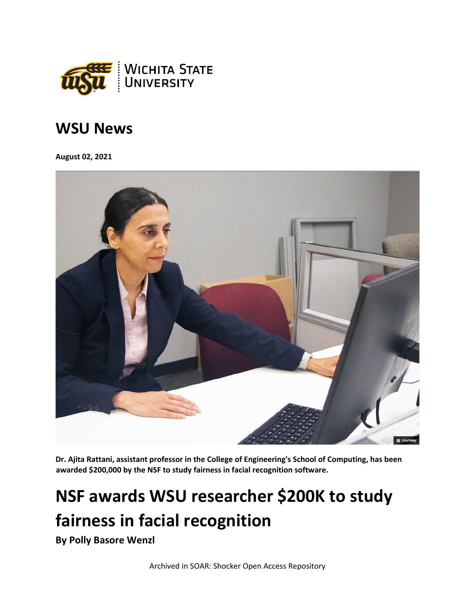

## **WSU News**

**August 02, 2021**



**Dr. Ajita Rattani, assistant professor in the College of Engineering's School of Computing, has been awarded \$200,000 by the NSF to study fairness in facial recognition software.**

## **NSF awards WSU researcher \$200K to study fairness in facial recognition**

**By Polly Basore Wenzl**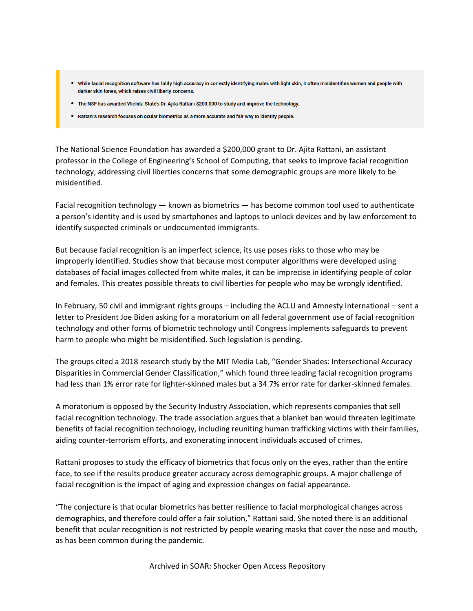- While facial recognition software has fairly high accuracy in correctly identifying males with light skin, it often misidentifres women and people with darker skin tones, which raises civil liberty concerns.
- The NSF has awarded Wichita State's Dr. Ajita Rattani \$200,000 to study and improve the technology.
- Rattani's research focuses on ocular biometrics as a more accurate and fair way to identify people.

The National Science Foundation has awarded a \$200,000 grant to Dr. Ajita Rattani, an assistant professor in the College of Engineering's School of Computing, that seeks to improve facial recognition technology, addressing civil liberties concerns that some demographic groups are more likely to be misidentified.

Facial recognition technology — known as biometrics — has become common tool used to authenticate a person's identity and is used by smartphones and laptops to unlock devices and by law enforcement to identify suspected criminals or undocumented immigrants.

But because facial recognition is an imperfect science, its use poses risks to those who may be improperly identified. Studies show that because most computer algorithms were developed using databases of facial images collected from white males, it can be imprecise in identifying people of color and females. This creates possible threats to civil liberties for people who may be wrongly identified.

In February, 50 civil and immigrant rights groups – including the ACLU and Amnesty International – sent a letter to President Joe Biden asking for a moratorium on all federal government use of facial recognition technology and other forms of biometric technology until Congress implements safeguards to prevent harm to people who might be misidentified. Such legislation is pending.

The groups cited a 2018 research study by the MIT Media Lab, "Gender Shades: Intersectional Accuracy Disparities in Commercial Gender Classification," which found three leading facial recognition programs had less than 1% error rate for lighter-skinned males but a 34.7% error rate for darker-skinned females.

A moratorium is opposed by the Security Industry Association, which represents companies that sell facial recognition technology. The trade association argues that a blanket ban would threaten legitimate benefits of facial recognition technology, including reuniting human trafficking victims with their families, aiding counter-terrorism efforts, and exonerating innocent individuals accused of crimes.

Rattani proposes to study the efficacy of biometrics that focus only on the eyes, rather than the entire face, to see if the results produce greater accuracy across demographic groups. A major challenge of facial recognition is the impact of aging and expression changes on facial appearance.

"The conjecture is that ocular biometrics has better resilience to facial morphological changes across demographics, and therefore could offer a fair solution," Rattani said. She noted there is an additional benefit that ocular recognition is not restricted by people wearing masks that cover the nose and mouth, as has been common during the pandemic.